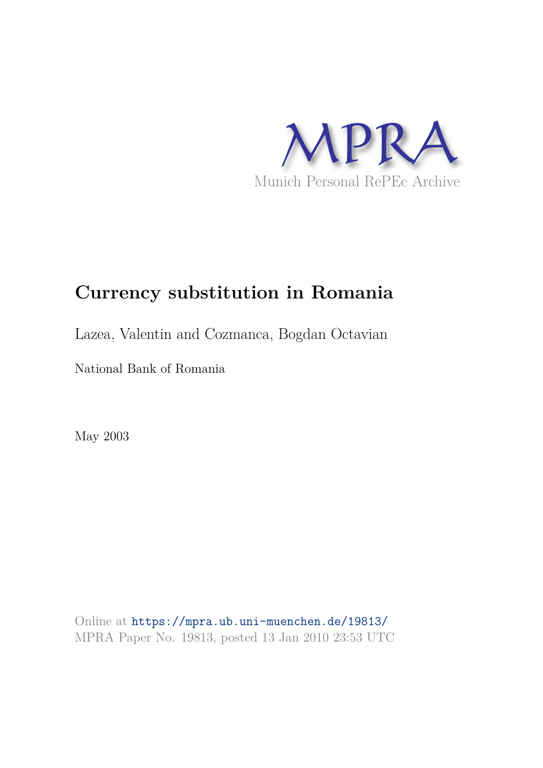

# **Currency substitution in Romania**

Lazea, Valentin and Cozmanca, Bogdan Octavian

National Bank of Romania

May 2003

Online at https://mpra.ub.uni-muenchen.de/19813/ MPRA Paper No. 19813, posted 13 Jan 2010 23:53 UTC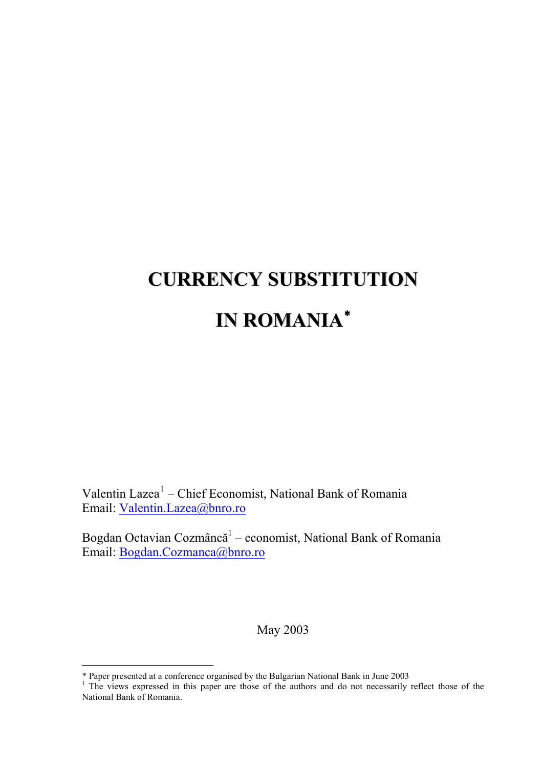# **CURRENCY SUBSTITUTION IN ROMANIA** [∗](#page-1-0)

Valentin Lazea<sup>[1](#page-1-1)</sup> – Chief Economist, National Bank of Romania Email: [Valentin.Lazea@bnro.ro](mailto:Valentin.Lazea@bnro.ro)

Bogdan Octavian Cozmâncă<sup>1</sup> – economist, National Bank of Romania Email: [Bogdan.Cozmanca@bnro.ro](mailto:Bogdan.Cozmanca@bnro.ro)

May 2003

-

<span id="page-1-1"></span><span id="page-1-0"></span><sup>\*</sup> Paper presented at a conference organised by the Bulgarian National Bank in June 2003 1 The views expressed in this paper are those of the authors and do not necessarily reflect those of the National Bank of Romania.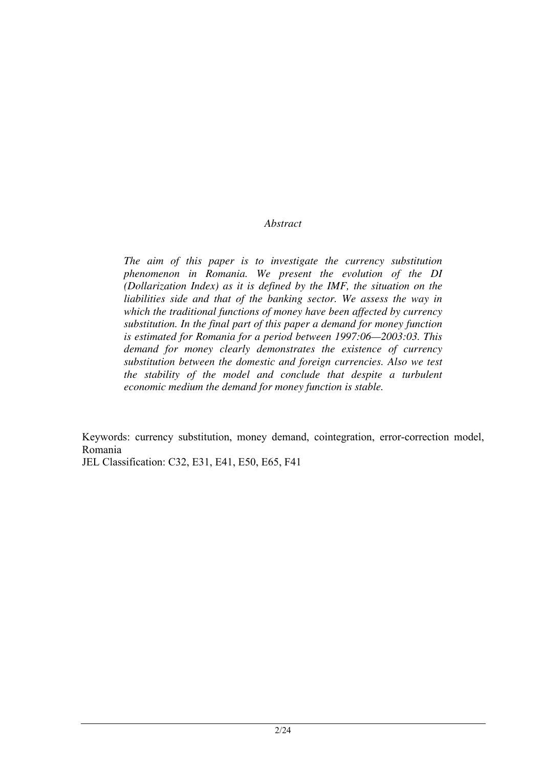#### *Abstract*

*The aim of this paper is to investigate the currency substitution phenomenon in Romania. We present the evolution of the DI (Dollarization Index) as it is defined by the IMF, the situation on the liabilities side and that of the banking sector. We assess the way in which the traditional functions of money have been affected by currency substitution. In the final part of this paper a demand for money function is estimated for Romania for a period between 1997:06—2003:03. This demand for money clearly demonstrates the existence of currency substitution between the domestic and foreign currencies. Also we test the stability of the model and conclude that despite a turbulent economic medium the demand for money function is stable.* 

Keywords: currency substitution, money demand, cointegration, error-correction model, Romania JEL Classification: C32, E31, E41, E50, E65, F41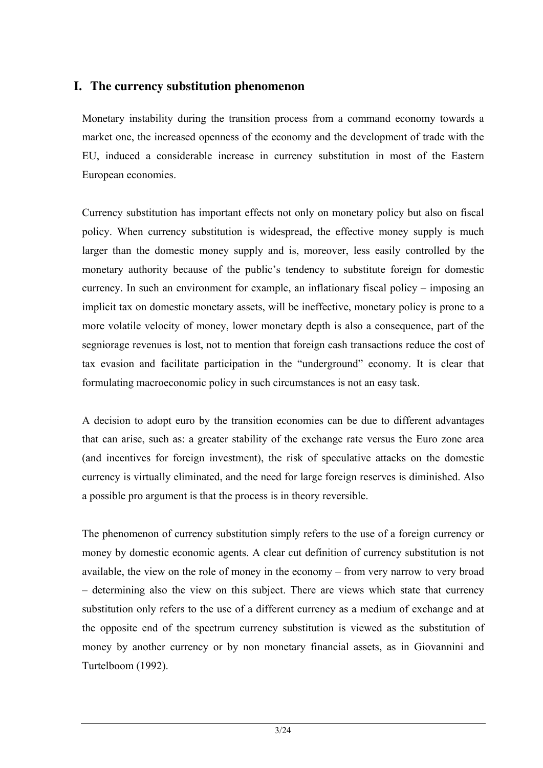## **I. The currency substitution phenomenon**

Monetary instability during the transition process from a command economy towards a market one, the increased openness of the economy and the development of trade with the EU, induced a considerable increase in currency substitution in most of the Eastern European economies.

Currency substitution has important effects not only on monetary policy but also on fiscal policy. When currency substitution is widespread, the effective money supply is much larger than the domestic money supply and is, moreover, less easily controlled by the monetary authority because of the public's tendency to substitute foreign for domestic currency. In such an environment for example, an inflationary fiscal policy – imposing an implicit tax on domestic monetary assets, will be ineffective, monetary policy is prone to a more volatile velocity of money, lower monetary depth is also a consequence, part of the segniorage revenues is lost, not to mention that foreign cash transactions reduce the cost of tax evasion and facilitate participation in the "underground" economy. It is clear that formulating macroeconomic policy in such circumstances is not an easy task.

A decision to adopt euro by the transition economies can be due to different advantages that can arise, such as: a greater stability of the exchange rate versus the Euro zone area (and incentives for foreign investment), the risk of speculative attacks on the domestic currency is virtually eliminated, and the need for large foreign reserves is diminished. Also a possible pro argument is that the process is in theory reversible.

The phenomenon of currency substitution simply refers to the use of a foreign currency or money by domestic economic agents. A clear cut definition of currency substitution is not available, the view on the role of money in the economy – from very narrow to very broad – determining also the view on this subject. There are views which state that currency substitution only refers to the use of a different currency as a medium of exchange and at the opposite end of the spectrum currency substitution is viewed as the substitution of money by another currency or by non monetary financial assets, as in Giovannini and Turtelboom (1992).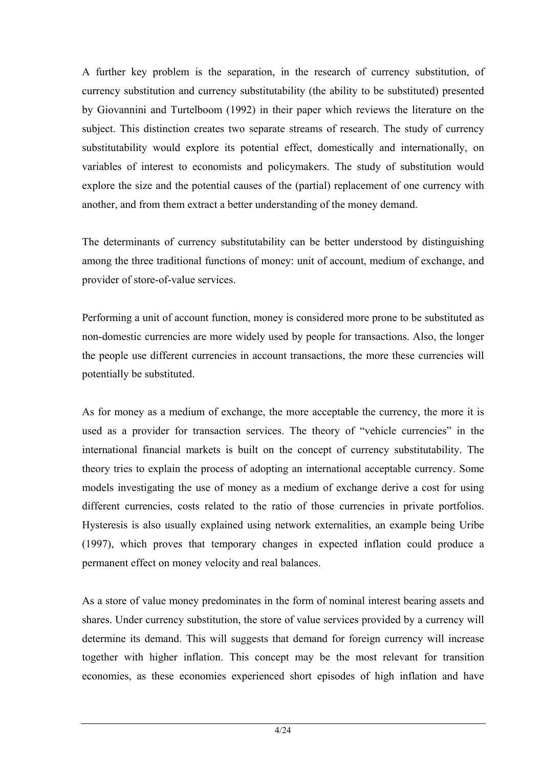A further key problem is the separation, in the research of currency substitution, of currency substitution and currency substitutability (the ability to be substituted) presented by Giovannini and Turtelboom (1992) in their paper which reviews the literature on the subject. This distinction creates two separate streams of research. The study of currency substitutability would explore its potential effect, domestically and internationally, on variables of interest to economists and policymakers. The study of substitution would explore the size and the potential causes of the (partial) replacement of one currency with another, and from them extract a better understanding of the money demand.

The determinants of currency substitutability can be better understood by distinguishing among the three traditional functions of money: unit of account, medium of exchange, and provider of store-of-value services.

Performing a unit of account function, money is considered more prone to be substituted as non-domestic currencies are more widely used by people for transactions. Also, the longer the people use different currencies in account transactions, the more these currencies will potentially be substituted.

As for money as a medium of exchange, the more acceptable the currency, the more it is used as a provider for transaction services. The theory of "vehicle currencies" in the international financial markets is built on the concept of currency substitutability. The theory tries to explain the process of adopting an international acceptable currency. Some models investigating the use of money as a medium of exchange derive a cost for using different currencies, costs related to the ratio of those currencies in private portfolios. Hysteresis is also usually explained using network externalities, an example being Uribe (1997), which proves that temporary changes in expected inflation could produce a permanent effect on money velocity and real balances.

As a store of value money predominates in the form of nominal interest bearing assets and shares. Under currency substitution, the store of value services provided by a currency will determine its demand. This will suggests that demand for foreign currency will increase together with higher inflation. This concept may be the most relevant for transition economies, as these economies experienced short episodes of high inflation and have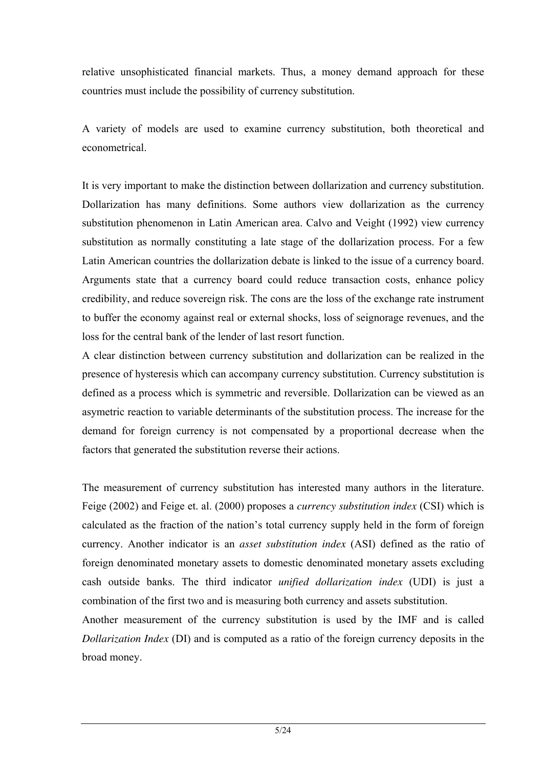relative unsophisticated financial markets. Thus, a money demand approach for these countries must include the possibility of currency substitution.

A variety of models are used to examine currency substitution, both theoretical and econometrical.

It is very important to make the distinction between dollarization and currency substitution. Dollarization has many definitions. Some authors view dollarization as the currency substitution phenomenon in Latin American area. Calvo and Veight (1992) view currency substitution as normally constituting a late stage of the dollarization process. For a few Latin American countries the dollarization debate is linked to the issue of a currency board. Arguments state that a currency board could reduce transaction costs, enhance policy credibility, and reduce sovereign risk. The cons are the loss of the exchange rate instrument to buffer the economy against real or external shocks, loss of seignorage revenues, and the loss for the central bank of the lender of last resort function.

A clear distinction between currency substitution and dollarization can be realized in the presence of hysteresis which can accompany currency substitution. Currency substitution is defined as a process which is symmetric and reversible. Dollarization can be viewed as an asymetric reaction to variable determinants of the substitution process. The increase for the demand for foreign currency is not compensated by a proportional decrease when the factors that generated the substitution reverse their actions.

The measurement of currency substitution has interested many authors in the literature. Feige (2002) and Feige et. al. (2000) proposes a *currency substitution index* (CSI) which is calculated as the fraction of the nation's total currency supply held in the form of foreign currency. Another indicator is an *asset substitution index* (ASI) defined as the ratio of foreign denominated monetary assets to domestic denominated monetary assets excluding cash outside banks. The third indicator *unified dollarization index* (UDI) is just a combination of the first two and is measuring both currency and assets substitution.

Another measurement of the currency substitution is used by the IMF and is called *Dollarization Index* (DI) and is computed as a ratio of the foreign currency deposits in the broad money.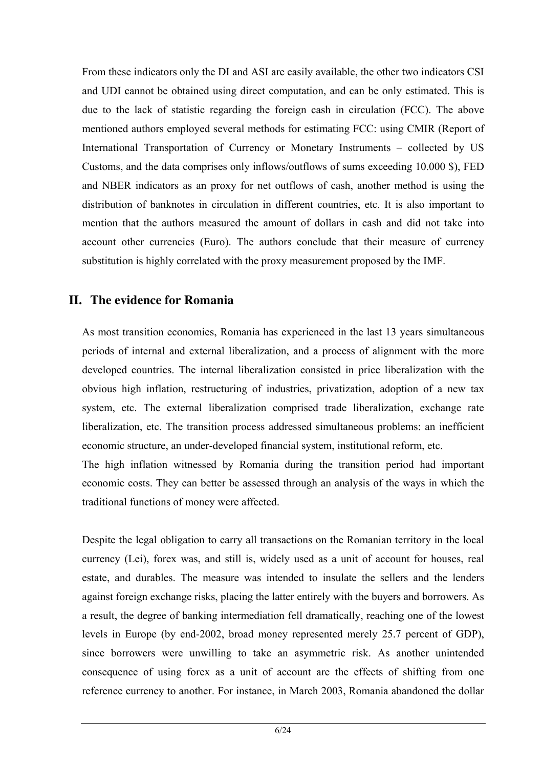From these indicators only the DI and ASI are easily available, the other two indicators CSI and UDI cannot be obtained using direct computation, and can be only estimated. This is due to the lack of statistic regarding the foreign cash in circulation (FCC). The above mentioned authors employed several methods for estimating FCC: using CMIR (Report of International Transportation of Currency or Monetary Instruments – collected by US Customs, and the data comprises only inflows/outflows of sums exceeding 10.000 \$), FED and NBER indicators as an proxy for net outflows of cash, another method is using the distribution of banknotes in circulation in different countries, etc. It is also important to mention that the authors measured the amount of dollars in cash and did not take into account other currencies (Euro). The authors conclude that their measure of currency substitution is highly correlated with the proxy measurement proposed by the IMF.

## **II. The evidence for Romania**

As most transition economies, Romania has experienced in the last 13 years simultaneous periods of internal and external liberalization, and a process of alignment with the more developed countries. The internal liberalization consisted in price liberalization with the obvious high inflation, restructuring of industries, privatization, adoption of a new tax system, etc. The external liberalization comprised trade liberalization, exchange rate liberalization, etc. The transition process addressed simultaneous problems: an inefficient economic structure, an under-developed financial system, institutional reform, etc.

The high inflation witnessed by Romania during the transition period had important economic costs. They can better be assessed through an analysis of the ways in which the traditional functions of money were affected.

Despite the legal obligation to carry all transactions on the Romanian territory in the local currency (Lei), forex was, and still is, widely used as a unit of account for houses, real estate, and durables. The measure was intended to insulate the sellers and the lenders against foreign exchange risks, placing the latter entirely with the buyers and borrowers. As a result, the degree of banking intermediation fell dramatically, reaching one of the lowest levels in Europe (by end-2002, broad money represented merely 25.7 percent of GDP), since borrowers were unwilling to take an asymmetric risk. As another unintended consequence of using forex as a unit of account are the effects of shifting from one reference currency to another. For instance, in March 2003, Romania abandoned the dollar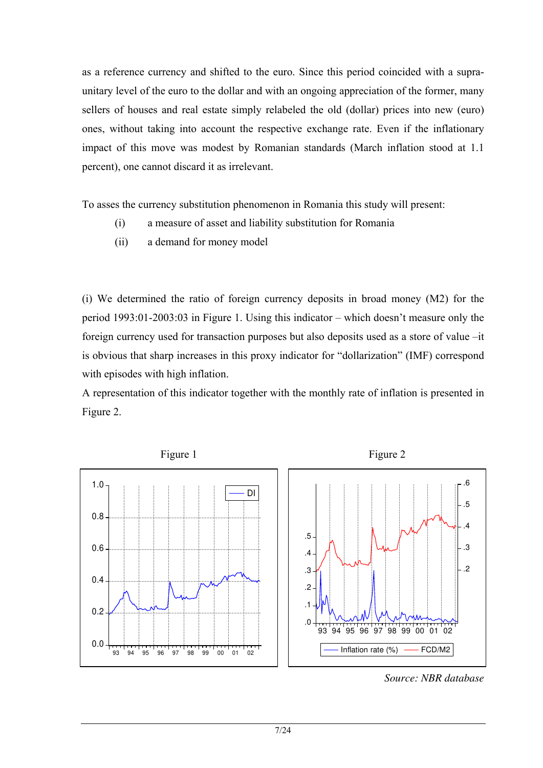as a reference currency and shifted to the euro. Since this period coincided with a supraunitary level of the euro to the dollar and with an ongoing appreciation of the former, many sellers of houses and real estate simply relabeled the old (dollar) prices into new (euro) ones, without taking into account the respective exchange rate. Even if the inflationary impact of this move was modest by Romanian standards (March inflation stood at 1.1 percent), one cannot discard it as irrelevant.

To asses the currency substitution phenomenon in Romania this study will present:

- (i) a measure of asset and liability substitution for Romania
- (ii) a demand for money model

(i) We determined the ratio of foreign currency deposits in broad money (M2) for the period 1993:01-2003:03 in [Figure 1](#page-7-0). Using this indicator – which doesn't measure only the foreign currency used for transaction purposes but also deposits used as a store of value –it is obvious that sharp increases in this proxy indicator for "dollarization" (IMF) correspond with episodes with high inflation.

A representation of this indicator together with the monthly rate of inflation is presented in [Figure 2](#page-7-0).

<span id="page-7-0"></span>

*Source: NBR database*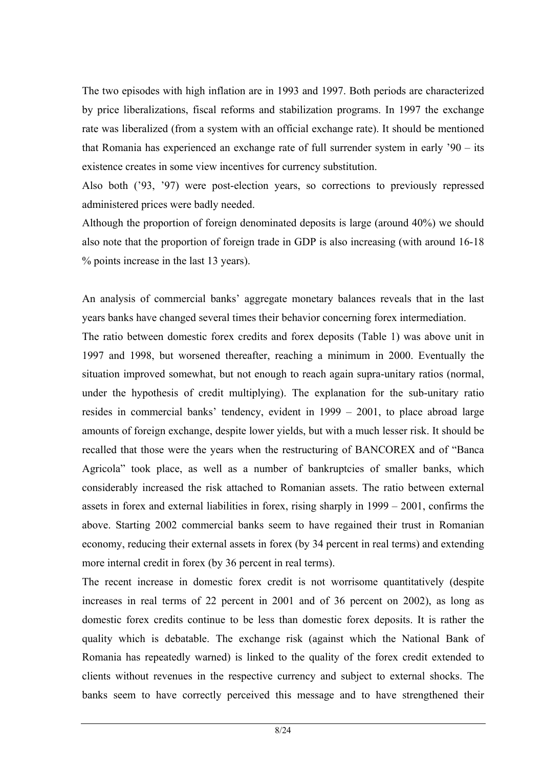The two episodes with high inflation are in 1993 and 1997. Both periods are characterized by price liberalizations, fiscal reforms and stabilization programs. In 1997 the exchange rate was liberalized (from a system with an official exchange rate). It should be mentioned that Romania has experienced an exchange rate of full surrender system in early '90 – its existence creates in some view incentives for currency substitution.

Also both ('93, '97) were post-election years, so corrections to previously repressed administered prices were badly needed.

Although the proportion of foreign denominated deposits is large (around 40%) we should also note that the proportion of foreign trade in GDP is also increasing (with around 16-18 % points increase in the last 13 years).

An analysis of commercial banks' aggregate monetary balances reveals that in the last years banks have changed several times their behavior concerning forex intermediation.

The ratio between domestic forex credits and forex deposits (Table 1) was above unit in 1997 and 1998, but worsened thereafter, reaching a minimum in 2000. Eventually the situation improved somewhat, but not enough to reach again supra-unitary ratios (normal, under the hypothesis of credit multiplying). The explanation for the sub-unitary ratio resides in commercial banks' tendency, evident in 1999 – 2001, to place abroad large amounts of foreign exchange, despite lower yields, but with a much lesser risk. It should be recalled that those were the years when the restructuring of BANCOREX and of "Banca Agricola" took place, as well as a number of bankruptcies of smaller banks, which considerably increased the risk attached to Romanian assets. The ratio between external assets in forex and external liabilities in forex, rising sharply in 1999 – 2001, confirms the above. Starting 2002 commercial banks seem to have regained their trust in Romanian economy, reducing their external assets in forex (by 34 percent in real terms) and extending more internal credit in forex (by 36 percent in real terms).

The recent increase in domestic forex credit is not worrisome quantitatively (despite increases in real terms of 22 percent in 2001 and of 36 percent on 2002), as long as domestic forex credits continue to be less than domestic forex deposits. It is rather the quality which is debatable. The exchange risk (against which the National Bank of Romania has repeatedly warned) is linked to the quality of the forex credit extended to clients without revenues in the respective currency and subject to external shocks. The banks seem to have correctly perceived this message and to have strengthened their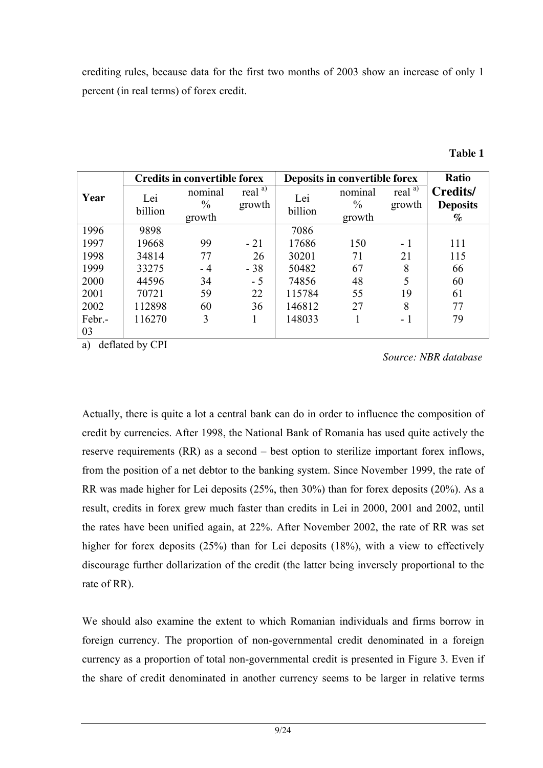crediting rules, because data for the first two months of 2003 show an increase of only 1 percent (in real terms) of forex credit.

|              |                | <b>Credits in convertible forex</b> |                     | Deposits in convertible forex | Ratio                              |                     |                                     |
|--------------|----------------|-------------------------------------|---------------------|-------------------------------|------------------------------------|---------------------|-------------------------------------|
| Year         | Lei<br>billion | nominal<br>$\frac{0}{0}$<br>growth  | real $a)$<br>growth | Lei<br>billion                | nominal<br>$\frac{0}{0}$<br>growth | real $a)$<br>growth | Credits/<br><b>Deposits</b><br>$\%$ |
| 1996         | 9898           |                                     |                     | 7086                          |                                    |                     |                                     |
| 1997         | 19668          | 99                                  | $-21$               | 17686                         | 150                                | $-1$                | 111                                 |
| 1998         | 34814          | 77                                  | 26                  | 30201                         | 71                                 | 21                  | 115                                 |
| 1999         | 33275          | - 4                                 | $-38$               | 50482                         | 67                                 | 8                   | 66                                  |
| 2000         | 44596          | 34                                  | $-5$                | 74856                         | 48                                 | 5                   | 60                                  |
| 2001         | 70721          | 59                                  | 22                  | 115784                        | 55                                 | 19                  | 61                                  |
| 2002         | 112898         | 60                                  | 36                  | 146812                        | 27                                 | 8                   | 77                                  |
| Febr.-<br>03 | 116270         | 3                                   |                     | 148033                        |                                    | - 1                 | 79                                  |

a) deflated by CPI

*Source: NBR database* 

Actually, there is quite a lot a central bank can do in order to influence the composition of credit by currencies. After 1998, the National Bank of Romania has used quite actively the reserve requirements (RR) as a second – best option to sterilize important forex inflows, from the position of a net debtor to the banking system. Since November 1999, the rate of RR was made higher for Lei deposits (25%, then 30%) than for forex deposits (20%). As a result, credits in forex grew much faster than credits in Lei in 2000, 2001 and 2002, until the rates have been unified again, at 22%. After November 2002, the rate of RR was set higher for forex deposits (25%) than for Lei deposits (18%), with a view to effectively discourage further dollarization of the credit (the latter being inversely proportional to the rate of RR).

We should also examine the extent to which Romanian individuals and firms borrow in foreign currency. The proportion of non-governmental credit denominated in a foreign currency as a proportion of total non-governmental credit is presented in [Figure 3.](#page-11-0) Even if the share of credit denominated in another currency seems to be larger in relative terms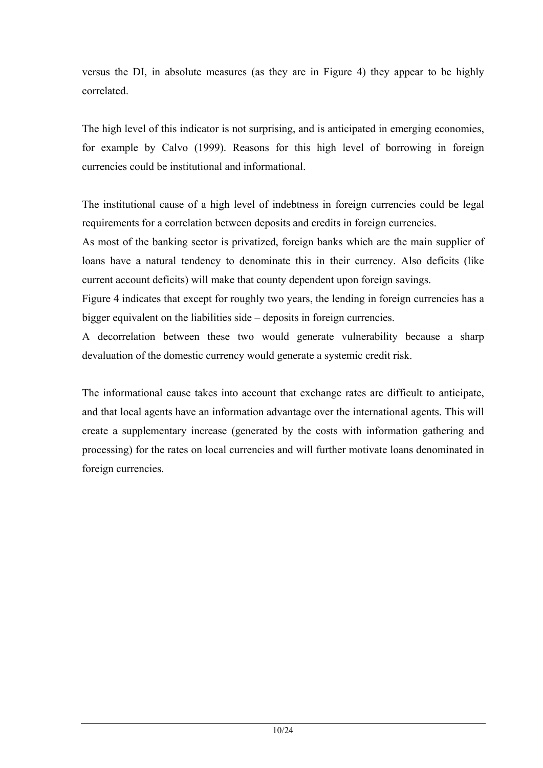versus the DI, in absolute measures (as they are in [Figure 4](#page-11-0)) they appear to be highly correlated.

The high level of this indicator is not surprising, and is anticipated in emerging economies, for example by Calvo (1999). Reasons for this high level of borrowing in foreign currencies could be institutional and informational.

The institutional cause of a high level of indebtness in foreign currencies could be legal requirements for a correlation between deposits and credits in foreign currencies.

As most of the banking sector is privatized, foreign banks which are the main supplier of loans have a natural tendency to denominate this in their currency. Also deficits (like current account deficits) will make that county dependent upon foreign savings.

[Figure 4](#page-11-0) indicates that except for roughly two years, the lending in foreign currencies has a bigger equivalent on the liabilities side – deposits in foreign currencies.

A decorrelation between these two would generate vulnerability because a sharp devaluation of the domestic currency would generate a systemic credit risk.

The informational cause takes into account that exchange rates are difficult to anticipate, and that local agents have an information advantage over the international agents. This will create a supplementary increase (generated by the costs with information gathering and processing) for the rates on local currencies and will further motivate loans denominated in foreign currencies.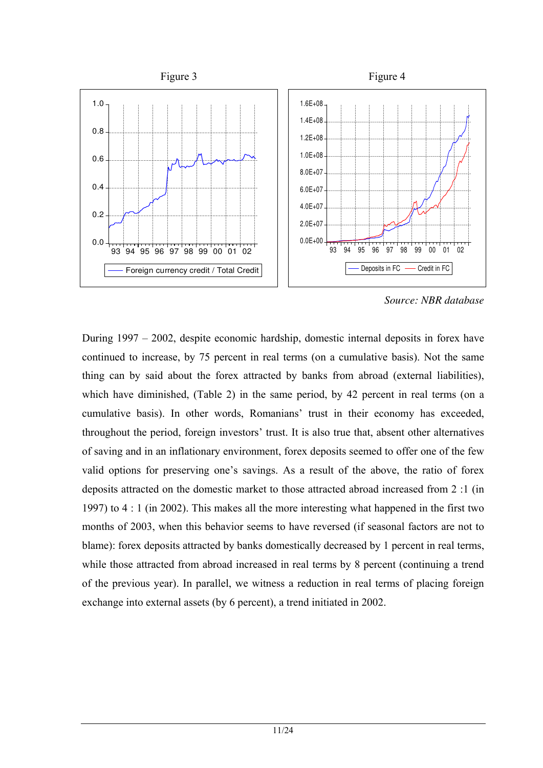<span id="page-11-0"></span>

*Source: NBR database* 

During 1997 – 2002, despite economic hardship, domestic internal deposits in forex have continued to increase, by 75 percent in real terms (on a cumulative basis). Not the same thing can by said about the forex attracted by banks from abroad (external liabilities), which have diminished, (Table 2) in the same period, by 42 percent in real terms (on a cumulative basis). In other words, Romanians' trust in their economy has exceeded, throughout the period, foreign investors' trust. It is also true that, absent other alternatives of saving and in an inflationary environment, forex deposits seemed to offer one of the few valid options for preserving one's savings. As a result of the above, the ratio of forex deposits attracted on the domestic market to those attracted abroad increased from 2 :1 (in 1997) to 4 : 1 (in 2002). This makes all the more interesting what happened in the first two months of 2003, when this behavior seems to have reversed (if seasonal factors are not to blame): forex deposits attracted by banks domestically decreased by 1 percent in real terms, while those attracted from abroad increased in real terms by 8 percent (continuing a trend of the previous year). In parallel, we witness a reduction in real terms of placing foreign exchange into external assets (by 6 percent), a trend initiated in 2002.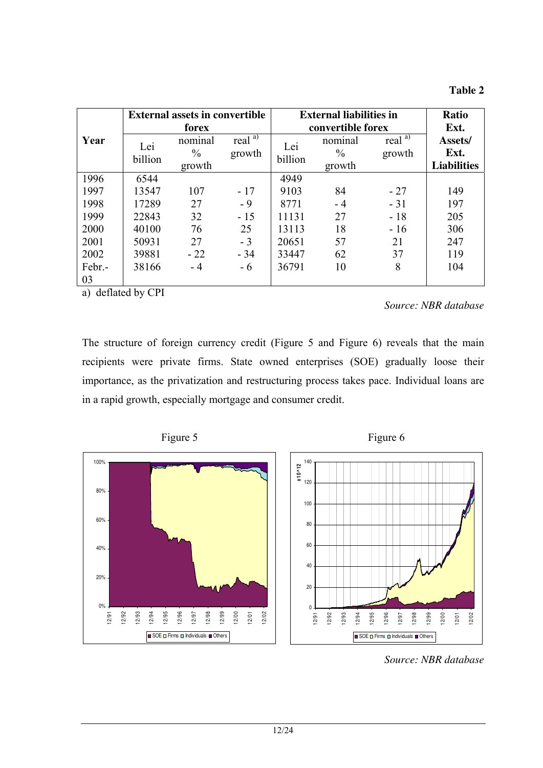| mı<br>т 1<br>1 |  |
|----------------|--|
|----------------|--|

|                | forex                              |                               |                                       | <b>Ratio</b><br>Ext.               |                     |                                                     |
|----------------|------------------------------------|-------------------------------|---------------------------------------|------------------------------------|---------------------|-----------------------------------------------------|
| Lei<br>billion | nominal<br>$\frac{0}{0}$<br>growth | real $\overline{a}$<br>growth | Lei<br>billion                        | nominal<br>$\frac{0}{0}$<br>growth | real $a)$<br>growth | Assets/<br>Ext.<br><b>Liabilities</b>               |
| 6544           |                                    |                               | 4949                                  |                                    |                     |                                                     |
| 13547          | 107                                | $-17$                         | 9103                                  | 84                                 | $-27$               | 149                                                 |
| 17289          | 27                                 | $-9$                          | 8771                                  | - 4                                | $-31$               | 197                                                 |
| 22843          | 32                                 | $-15$                         | 11131                                 | 27                                 | $-18$               | 205                                                 |
| 40100          | 76                                 | 25                            | 13113                                 | 18                                 | $-16$               | 306                                                 |
| 50931          | 27                                 | $-3$                          | 20651                                 | 57                                 | 21                  | 247                                                 |
| 39881          | $-22$                              | $-34$                         | 33447                                 | 62                                 | 37                  | 119                                                 |
| 38166          | $-4$                               | $-6$                          | 36791                                 | 10                                 | 8                   | 104                                                 |
|                |                                    |                               | <b>External assets in convertible</b> |                                    |                     | <b>External liabilities in</b><br>convertible forex |

a) deflated by CPI

*Source: NBR database* 

The structure of foreign currency credit [\(Figure 5](#page-12-0) and [Figure 6\)](#page-12-0) reveals that the main recipients were private firms. State owned enterprises (SOE) gradually loose their importance, as the privatization and restructuring process takes pace. Individual loans are in a rapid growth, especially mortgage and consumer credit.

<span id="page-12-0"></span>

*Source: NBR database*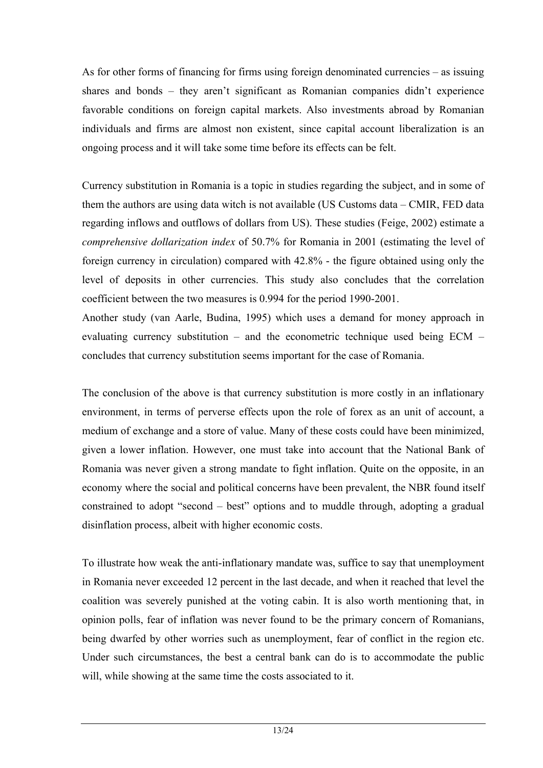As for other forms of financing for firms using foreign denominated currencies – as issuing shares and bonds – they aren't significant as Romanian companies didn't experience favorable conditions on foreign capital markets. Also investments abroad by Romanian individuals and firms are almost non existent, since capital account liberalization is an ongoing process and it will take some time before its effects can be felt.

Currency substitution in Romania is a topic in studies regarding the subject, and in some of them the authors are using data witch is not available (US Customs data – CMIR, FED data regarding inflows and outflows of dollars from US). These studies (Feige, 2002) estimate a *comprehensive dollarization index* of 50.7% for Romania in 2001 (estimating the level of foreign currency in circulation) compared with 42.8% - the figure obtained using only the level of deposits in other currencies. This study also concludes that the correlation coefficient between the two measures is 0.994 for the period 1990-2001.

Another study (van Aarle, Budina, 1995) which uses a demand for money approach in evaluating currency substitution – and the econometric technique used being ECM – concludes that currency substitution seems important for the case of Romania.

The conclusion of the above is that currency substitution is more costly in an inflationary environment, in terms of perverse effects upon the role of forex as an unit of account, a medium of exchange and a store of value. Many of these costs could have been minimized, given a lower inflation. However, one must take into account that the National Bank of Romania was never given a strong mandate to fight inflation. Quite on the opposite, in an economy where the social and political concerns have been prevalent, the NBR found itself constrained to adopt "second – best" options and to muddle through, adopting a gradual disinflation process, albeit with higher economic costs.

To illustrate how weak the anti-inflationary mandate was, suffice to say that unemployment in Romania never exceeded 12 percent in the last decade, and when it reached that level the coalition was severely punished at the voting cabin. It is also worth mentioning that, in opinion polls, fear of inflation was never found to be the primary concern of Romanians, being dwarfed by other worries such as unemployment, fear of conflict in the region etc. Under such circumstances, the best a central bank can do is to accommodate the public will, while showing at the same time the costs associated to it.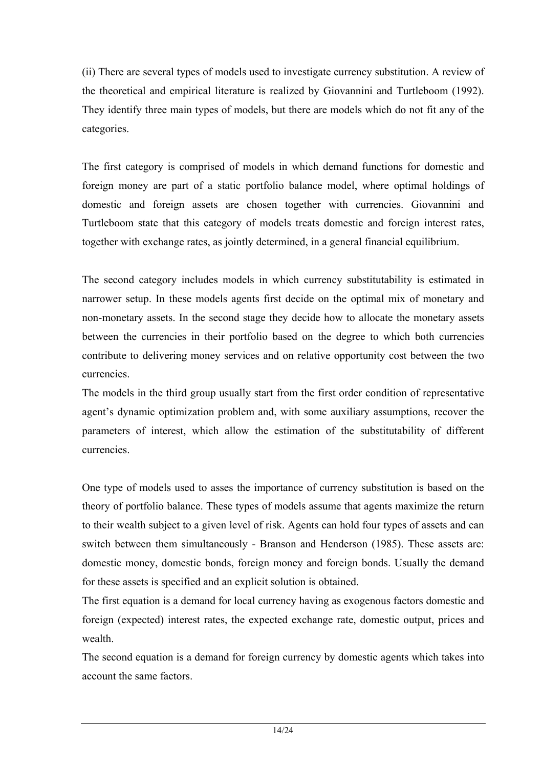(ii) There are several types of models used to investigate currency substitution. A review of the theoretical and empirical literature is realized by Giovannini and Turtleboom (1992). They identify three main types of models, but there are models which do not fit any of the categories.

The first category is comprised of models in which demand functions for domestic and foreign money are part of a static portfolio balance model, where optimal holdings of domestic and foreign assets are chosen together with currencies. Giovannini and Turtleboom state that this category of models treats domestic and foreign interest rates, together with exchange rates, as jointly determined, in a general financial equilibrium.

The second category includes models in which currency substitutability is estimated in narrower setup. In these models agents first decide on the optimal mix of monetary and non-monetary assets. In the second stage they decide how to allocate the monetary assets between the currencies in their portfolio based on the degree to which both currencies contribute to delivering money services and on relative opportunity cost between the two currencies.

The models in the third group usually start from the first order condition of representative agent's dynamic optimization problem and, with some auxiliary assumptions, recover the parameters of interest, which allow the estimation of the substitutability of different currencies.

One type of models used to asses the importance of currency substitution is based on the theory of portfolio balance. These types of models assume that agents maximize the return to their wealth subject to a given level of risk. Agents can hold four types of assets and can switch between them simultaneously - Branson and Henderson (1985). These assets are: domestic money, domestic bonds, foreign money and foreign bonds. Usually the demand for these assets is specified and an explicit solution is obtained.

The first equation is a demand for local currency having as exogenous factors domestic and foreign (expected) interest rates, the expected exchange rate, domestic output, prices and wealth.

The second equation is a demand for foreign currency by domestic agents which takes into account the same factors.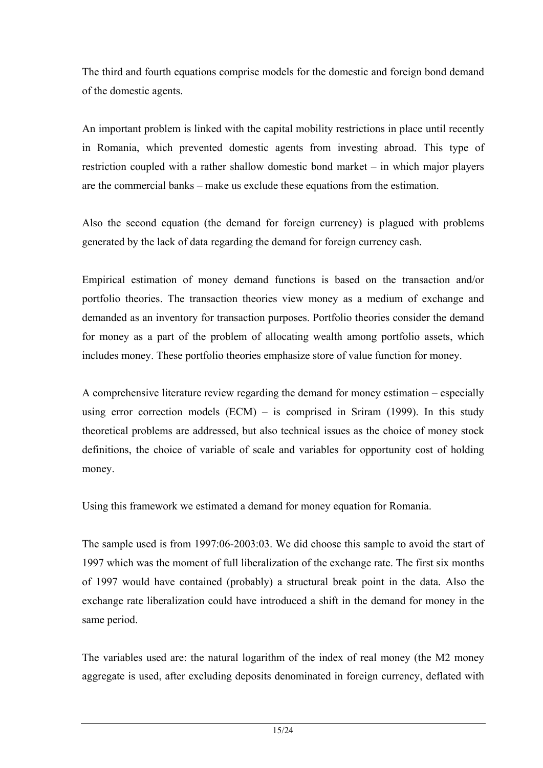The third and fourth equations comprise models for the domestic and foreign bond demand of the domestic agents.

An important problem is linked with the capital mobility restrictions in place until recently in Romania, which prevented domestic agents from investing abroad. This type of restriction coupled with a rather shallow domestic bond market – in which major players are the commercial banks – make us exclude these equations from the estimation.

Also the second equation (the demand for foreign currency) is plagued with problems generated by the lack of data regarding the demand for foreign currency cash.

Empirical estimation of money demand functions is based on the transaction and/or portfolio theories. The transaction theories view money as a medium of exchange and demanded as an inventory for transaction purposes. Portfolio theories consider the demand for money as a part of the problem of allocating wealth among portfolio assets, which includes money. These portfolio theories emphasize store of value function for money.

A comprehensive literature review regarding the demand for money estimation – especially using error correction models  $(ECM)$  – is comprised in Sriram (1999). In this study theoretical problems are addressed, but also technical issues as the choice of money stock definitions, the choice of variable of scale and variables for opportunity cost of holding money.

Using this framework we estimated a demand for money equation for Romania.

The sample used is from 1997:06-2003:03. We did choose this sample to avoid the start of 1997 which was the moment of full liberalization of the exchange rate. The first six months of 1997 would have contained (probably) a structural break point in the data. Also the exchange rate liberalization could have introduced a shift in the demand for money in the same period.

The variables used are: the natural logarithm of the index of real money (the M2 money aggregate is used, after excluding deposits denominated in foreign currency, deflated with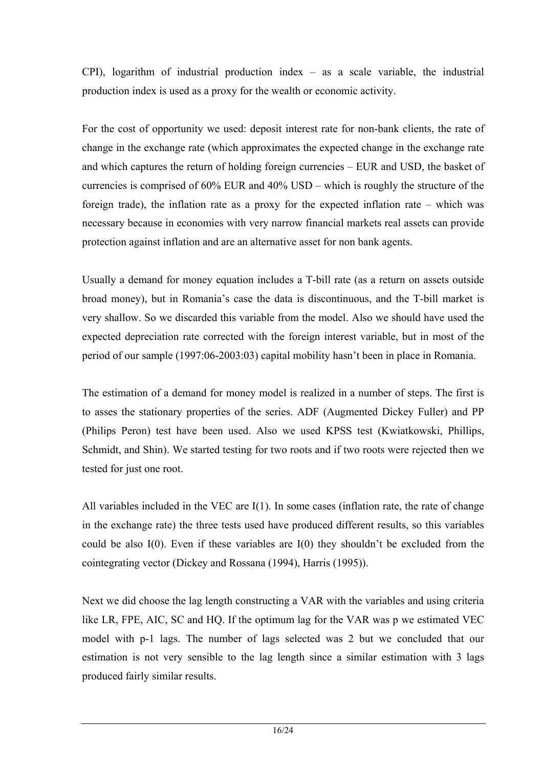CPI), logarithm of industrial production index – as a scale variable, the industrial production index is used as a proxy for the wealth or economic activity.

For the cost of opportunity we used: deposit interest rate for non-bank clients, the rate of change in the exchange rate (which approximates the expected change in the exchange rate and which captures the return of holding foreign currencies – EUR and USD, the basket of currencies is comprised of 60% EUR and 40% USD – which is roughly the structure of the foreign trade), the inflation rate as a proxy for the expected inflation rate – which was necessary because in economies with very narrow financial markets real assets can provide protection against inflation and are an alternative asset for non bank agents.

Usually a demand for money equation includes a T-bill rate (as a return on assets outside broad money), but in Romania's case the data is discontinuous, and the T-bill market is very shallow. So we discarded this variable from the model. Also we should have used the expected depreciation rate corrected with the foreign interest variable, but in most of the period of our sample (1997:06-2003:03) capital mobility hasn't been in place in Romania.

The estimation of a demand for money model is realized in a number of steps. The first is to asses the stationary properties of the series. ADF (Augmented Dickey Fuller) and PP (Philips Peron) test have been used. Also we used KPSS test (Kwiatkowski, Phillips, Schmidt, and Shin). We started testing for two roots and if two roots were rejected then we tested for just one root.

All variables included in the VEC are I(1). In some cases (inflation rate, the rate of change in the exchange rate) the three tests used have produced different results, so this variables could be also I(0). Even if these variables are I(0) they shouldn't be excluded from the cointegrating vector (Dickey and Rossana (1994), Harris (1995)).

Next we did choose the lag length constructing a VAR with the variables and using criteria like LR, FPE, AIC, SC and HQ. If the optimum lag for the VAR was p we estimated VEC model with p-1 lags. The number of lags selected was 2 but we concluded that our estimation is not very sensible to the lag length since a similar estimation with 3 lags produced fairly similar results.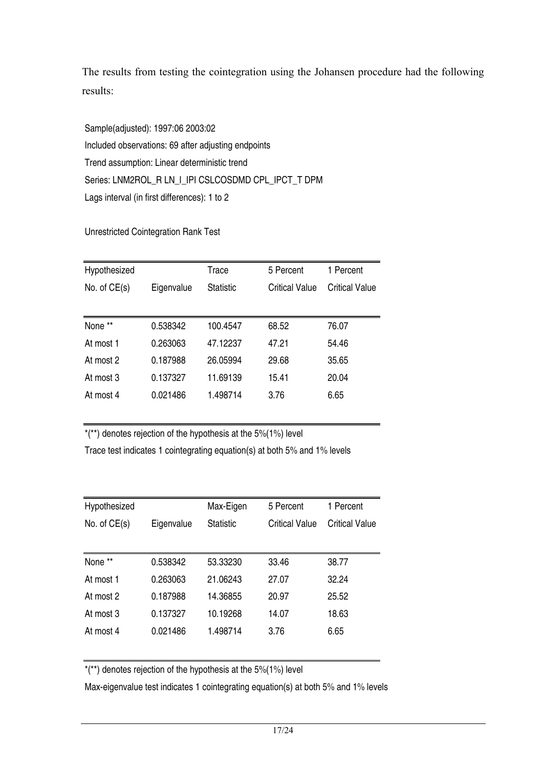The results from testing the cointegration using the Johansen procedure had the following results:

Sample(adjusted): 1997:06 2003:02 Included observations: 69 after adjusting endpoints Trend assumption: Linear deterministic trend Series: LNM2ROL\_R LN\_I\_IPI CSLCOSDMD CPL\_IPCT\_T DPM Lags interval (in first differences): 1 to 2

Unrestricted Cointegration Rank Test

| Hypothesized                 |          | Trace            | 5 Percent      | 1 Percent      |
|------------------------------|----------|------------------|----------------|----------------|
| No. of $CE(s)$<br>Eigenvalue |          | <b>Statistic</b> | Critical Value | Critical Value |
|                              |          |                  |                |                |
| None **                      | 0.538342 | 100.4547         | 68.52          | 76.07          |
| At most 1                    | 0.263063 | 47.12237         | 47.21          | 54.46          |
| At most 2                    | 0.187988 | 26.05994         | 29.68          | 35.65          |
| At most 3                    | 0.137327 | 11.69139         | 15.41          | 20.04          |
| At most 4                    | 0.021486 | 1.498714         | 3.76           | 6.65           |
|                              |          |                  |                |                |

 $*(**)$  denotes rejection of the hypothesis at the 5%(1%) level

Trace test indicates 1 cointegrating equation(s) at both 5% and 1% levels

| Hypothesized                 |          | Max-Eigen        | 5 Percent      | 1 Percent      |
|------------------------------|----------|------------------|----------------|----------------|
| No. of $CE(s)$<br>Eigenvalue |          | <b>Statistic</b> | Critical Value | Critical Value |
|                              |          |                  |                |                |
| None **                      | 0.538342 | 53.33230         | 33.46          | 38.77          |
| At most 1                    | 0.263063 | 21.06243         | 27.07          | 32.24          |
| At most 2                    | 0.187988 | 14.36855         | 20.97          | 25.52          |
| At most 3                    | 0.137327 | 10.19268         | 14.07          | 18.63          |
| At most 4                    | 0.021486 | 1.498714         | 3.76           | 6.65           |
|                              |          |                  |                |                |

 $*(**)$  denotes rejection of the hypothesis at the 5% $(1%)$  level

Max-eigenvalue test indicates 1 cointegrating equation(s) at both 5% and 1% levels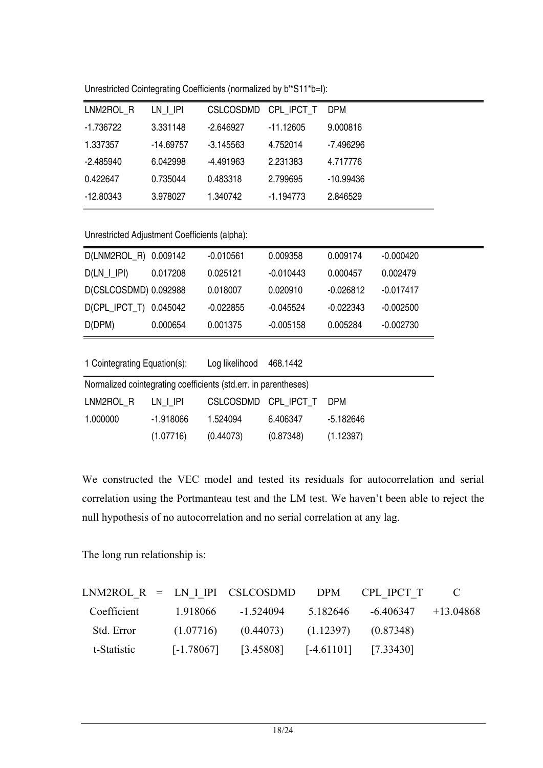Unrestricted Cointegrating Coefficients (normalized by b'\*S11\*b=I):

| LNM2ROL R   | LN I IPI  | <b>CSLCOSDMD</b> | CPL IPCT T  | DPM       |
|-------------|-----------|------------------|-------------|-----------|
| -1.736722   | 3.331148  | $-2.646927$      | -11.12605   | 9.000816  |
| 1.337357    | -14.69757 | -3.145563        | 4.752014    | -7.496296 |
| -2.485940   | 6.042998  | $-4.491963$      | 2.231383    | 4.717776  |
| 0.422647    | 0.735044  | 0.483318         | 2.799695    | -10.99436 |
| $-12.80343$ | 3.978027  | 1.340742         | $-1.194773$ | 2.846529  |

Unrestricted Adjustment Coefficients (alpha):

| D(LNM2ROL_R) 0.009142                                           |             | $-0.010561$      | 0.009358    | 0.009174    | $-0.000420$ |
|-----------------------------------------------------------------|-------------|------------------|-------------|-------------|-------------|
| $D(LN_l$   $ P )$                                               | 0.017208    | 0.025121         | $-0.010443$ | 0.000457    | 0.002479    |
| D(CSLCOSDMD) 0.092988                                           |             | 0.018007         | 0.020910    | $-0.026812$ | $-0.017417$ |
| D(CPL_IPCT_T) 0.045042                                          |             | $-0.022855$      | $-0.045524$ | $-0.022343$ | $-0.002500$ |
| D(DPM)                                                          | 0.000654    | 0.001375         | $-0.005158$ | 0.005284    | $-0.002730$ |
|                                                                 |             |                  |             |             |             |
| 1 Cointegrating Equation(s):                                    |             | Log likelihood   | 468.1442    |             |             |
| Normalized cointegrating coefficients (std.err. in parentheses) |             |                  |             |             |             |
| LNM2ROL R                                                       | LN   IPI    | <b>CSLCOSDMD</b> | CPL IPCT T  | <b>DPM</b>  |             |
| 1.000000                                                        | $-1.918066$ | 1.524094         | 6.406347    | -5.182646   |             |
|                                                                 | (1.07716)   | (0.44073)        | (0.87348)   | (1.12397)   |             |
|                                                                 |             |                  |             |             |             |

We constructed the VEC model and tested its residuals for autocorrelation and serial correlation using the Portmanteau test and the LM test. We haven't been able to reject the null hypothesis of no autocorrelation and no serial correlation at any lag.

The long run relationship is:

|             |              | $LNM2ROL R = LN I IPI CSLCOSDMD$ $DPM$ $CPL IPCT T$                  |                                  |  |
|-------------|--------------|----------------------------------------------------------------------|----------------------------------|--|
| Coefficient | 1.918066     | -1.524094                                                            | $5.182646 - 6.406347 + 13.04868$ |  |
| Std. Error  | (1.07716)    | $(0.44073)$ $(1.12397)$ $(0.87348)$                                  |                                  |  |
| t-Statistic | $[-1.78067]$ | $\left[3.45808\right]$ $\left[4.61101\right]$ $\left[7.33430\right]$ |                                  |  |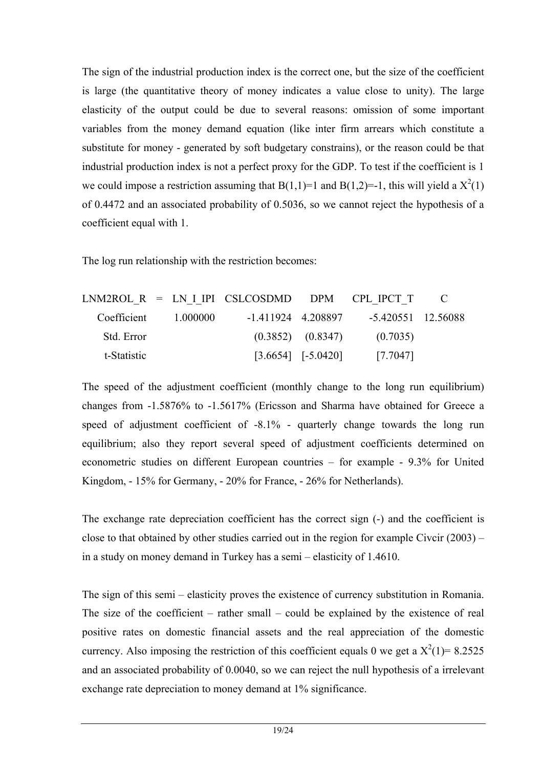The sign of the industrial production index is the correct one, but the size of the coefficient is large (the quantitative theory of money indicates a value close to unity). The large elasticity of the output could be due to several reasons: omission of some important variables from the money demand equation (like inter firm arrears which constitute a substitute for money - generated by soft budgetary constrains), or the reason could be that industrial production index is not a perfect proxy for the GDP. To test if the coefficient is 1 we could impose a restriction assuming that  $B(1,1)=1$  and  $B(1,2)=-1$ , this will yield a  $X^2(1)$ of 0.4472 and an associated probability of 0.5036, so we cannot reject the hypothesis of a coefficient equal with 1.

The log run relationship with the restriction becomes:

|             |            | $LNM2ROL R = LN I IPI CSLCOSDMD$ $DPM$ $CPL IPCT T$ $C$ |                                                  |                    |  |
|-------------|------------|---------------------------------------------------------|--------------------------------------------------|--------------------|--|
| Coefficient | - 1.000000 | -1 411924 4 208897                                      |                                                  | -5.420551 12.56088 |  |
| Std. Error  |            |                                                         | $(0.3852)$ $(0.8347)$                            | (0.7035)           |  |
| t-Statistic |            |                                                         | $\begin{bmatrix} 3.6654 \end{bmatrix}$ [-5.0420] | [7.7047]           |  |

The speed of the adjustment coefficient (monthly change to the long run equilibrium) changes from -1.5876% to -1.5617% (Ericsson and Sharma have obtained for Greece a speed of adjustment coefficient of -8.1% - quarterly change towards the long run equilibrium; also they report several speed of adjustment coefficients determined on econometric studies on different European countries – for example - 9.3% for United Kingdom, - 15% for Germany, - 20% for France, - 26% for Netherlands).

The exchange rate depreciation coefficient has the correct sign (-) and the coefficient is close to that obtained by other studies carried out in the region for example Civcir  $(2003)$  – in a study on money demand in Turkey has a semi – elasticity of 1.4610.

The sign of this semi – elasticity proves the existence of currency substitution in Romania. The size of the coefficient – rather small – could be explained by the existence of real positive rates on domestic financial assets and the real appreciation of the domestic currency. Also imposing the restriction of this coefficient equals 0 we get a  $X^2(1) = 8.2525$ and an associated probability of 0.0040, so we can reject the null hypothesis of a irrelevant exchange rate depreciation to money demand at 1% significance.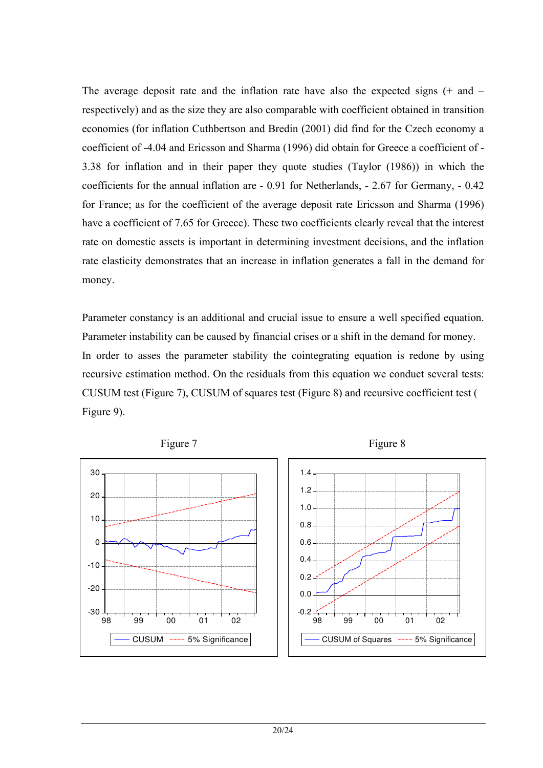The average deposit rate and the inflation rate have also the expected signs (+ and – respectively) and as the size they are also comparable with coefficient obtained in transition economies (for inflation Cuthbertson and Bredin (2001) did find for the Czech economy a coefficient of -4.04 and Ericsson and Sharma (1996) did obtain for Greece a coefficient of - 3.38 for inflation and in their paper they quote studies (Taylor (1986)) in which the coefficients for the annual inflation are - 0.91 for Netherlands, - 2.67 for Germany, - 0.42 for France; as for the coefficient of the average deposit rate Ericsson and Sharma (1996) have a coefficient of 7.65 for Greece). These two coefficients clearly reveal that the interest rate on domestic assets is important in determining investment decisions, and the inflation rate elasticity demonstrates that an increase in inflation generates a fall in the demand for money.

Parameter constancy is an additional and crucial issue to ensure a well specified equation. Parameter instability can be caused by financial crises or a shift in the demand for money. In order to asses the parameter stability the cointegrating equation is redone by using recursive estimation method. On the residuals from this equation we conduct several tests: CUSUM test [\(Figure 7\)](#page-20-0), CUSUM of squares test [\(Figure 8](#page-20-0)) and recursive coefficient test ( Figure 9).

<span id="page-20-0"></span>

Figure 7 Figure 8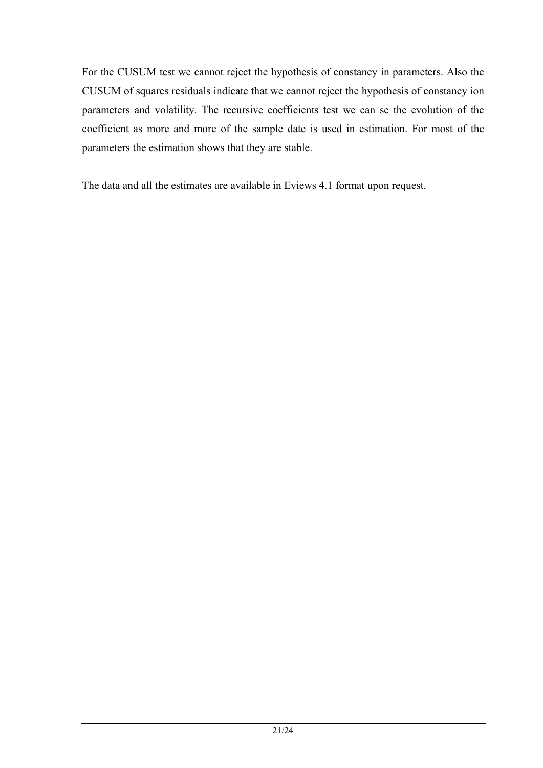For the CUSUM test we cannot reject the hypothesis of constancy in parameters. Also the CUSUM of squares residuals indicate that we cannot reject the hypothesis of constancy ion parameters and volatility. The recursive coefficients test we can se the evolution of the coefficient as more and more of the sample date is used in estimation. For most of the parameters the estimation shows that they are stable.

The data and all the estimates are available in Eviews 4.1 format upon request.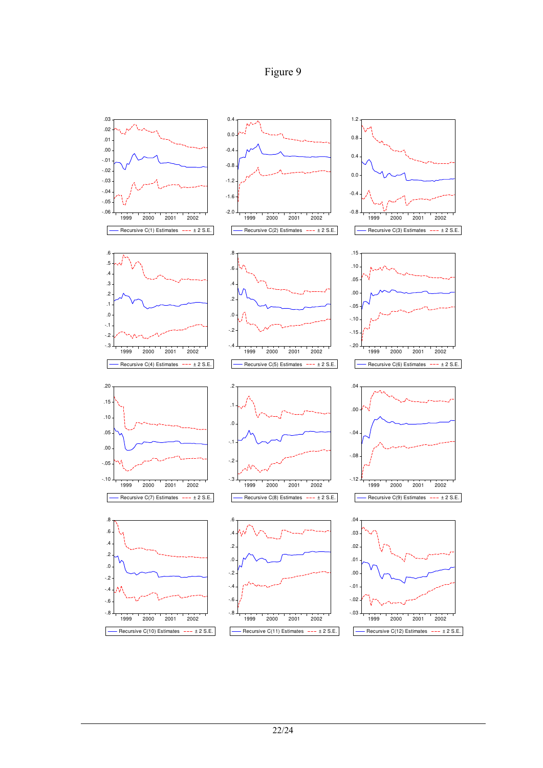

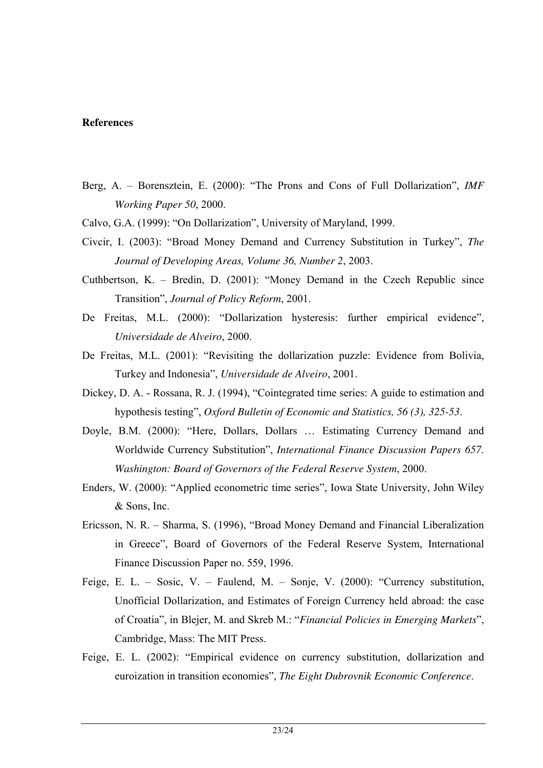#### **References**

- Berg, A. Borensztein, E. (2000): "The Prons and Cons of Full Dollarization", *IMF Working Paper 50*, 2000.
- Calvo, G.A. (1999): "On Dollarization", University of Maryland, 1999.
- Civcir, I. (2003): "Broad Money Demand and Currency Substitution in Turkey", *The Journal of Developing Areas, Volume 36, Number 2*, 2003.
- Cuthbertson, K. Bredin, D. (2001): "Money Demand in the Czech Republic since Transition", *Journal of Policy Reform*, 2001.
- De Freitas, M.L. (2000): "Dollarization hysteresis: further empirical evidence", *Universidade de Alveiro*, 2000.
- De Freitas, M.L. (2001): "Revisiting the dollarization puzzle: Evidence from Bolivia, Turkey and Indonesia", *Universidade de Alveiro*, 2001.
- Dickey, D. A. Rossana, R. J. (1994), "Cointegrated time series: A guide to estimation and hypothesis testing", *Oxford Bulletin of Economic and Statistics, 56 (3), 325-53*.
- Doyle, B.M. (2000): "Here, Dollars, Dollars … Estimating Currency Demand and Worldwide Currency Substitution", *International Finance Discussion Papers 657. Washington: Board of Governors of the Federal Reserve System*, 2000.
- Enders, W. (2000): "Applied econometric time series", Iowa State University, John Wiley & Sons, Inc.
- Ericsson, N. R. Sharma, S. (1996), "Broad Money Demand and Financial Liberalization in Greece", Board of Governors of the Federal Reserve System, International Finance Discussion Paper no. 559, 1996.
- Feige, E. L. Sosic, V. Faulend, M. Sonje, V. (2000): "Currency substitution, Unofficial Dollarization, and Estimates of Foreign Currency held abroad: the case of Croatia", in Blejer, M. and Skreb M.: "*Financial Policies in Emerging Markets*", Cambridge, Mass: The MIT Press.
- Feige, E. L. (2002): "Empirical evidence on currency substitution, dollarization and euroization in transition economies", *The Eight Dubrovnik Economic Conference*.